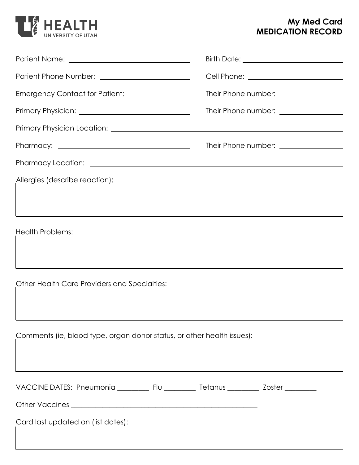

## **My Med Card MEDICATION RECORD**

| Emergency Contact for Patient: ________________                        | Their Phone number: _________________ |  |  |  |
|------------------------------------------------------------------------|---------------------------------------|--|--|--|
|                                                                        | Their Phone number: _________________ |  |  |  |
|                                                                        |                                       |  |  |  |
|                                                                        | Their Phone number: _________________ |  |  |  |
|                                                                        |                                       |  |  |  |
| Allergies (describe reaction):                                         |                                       |  |  |  |
| <b>Health Problems:</b>                                                |                                       |  |  |  |
| Other Health Care Providers and Specialties:                           |                                       |  |  |  |
| Comments (ie, blood type, organ donor status, or other health issues): |                                       |  |  |  |
| Card last updated on (list dates):                                     |                                       |  |  |  |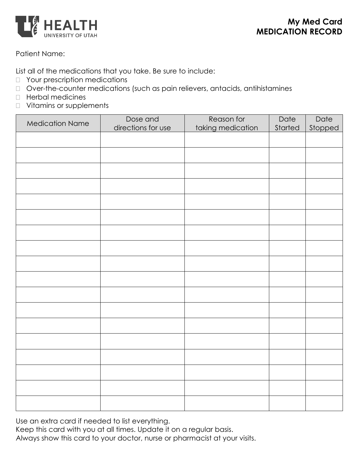

## Patient Name:

List all of the medications that you take. Be sure to include:

- **D** Your prescription medications
- Over-the-counter medications (such as pain relievers, antacids, antihistamines
- Herbal medicines
- Vitamins or supplements

| <b>Medication Name</b> | Dose and           | Reason for        | Date    | Date    |
|------------------------|--------------------|-------------------|---------|---------|
|                        | directions for use | taking medication | Started | Stopped |
|                        |                    |                   |         |         |
|                        |                    |                   |         |         |
|                        |                    |                   |         |         |
|                        |                    |                   |         |         |
|                        |                    |                   |         |         |
|                        |                    |                   |         |         |
|                        |                    |                   |         |         |
|                        |                    |                   |         |         |
|                        |                    |                   |         |         |
|                        |                    |                   |         |         |
|                        |                    |                   |         |         |
|                        |                    |                   |         |         |
|                        |                    |                   |         |         |
|                        |                    |                   |         |         |
|                        |                    |                   |         |         |
|                        |                    |                   |         |         |
|                        |                    |                   |         |         |
|                        |                    |                   |         |         |

Use an extra card if needed to list everything.

Keep this card with you at all times. Update it on a regular basis. Always show this card to your doctor, nurse or pharmacist at your visits.